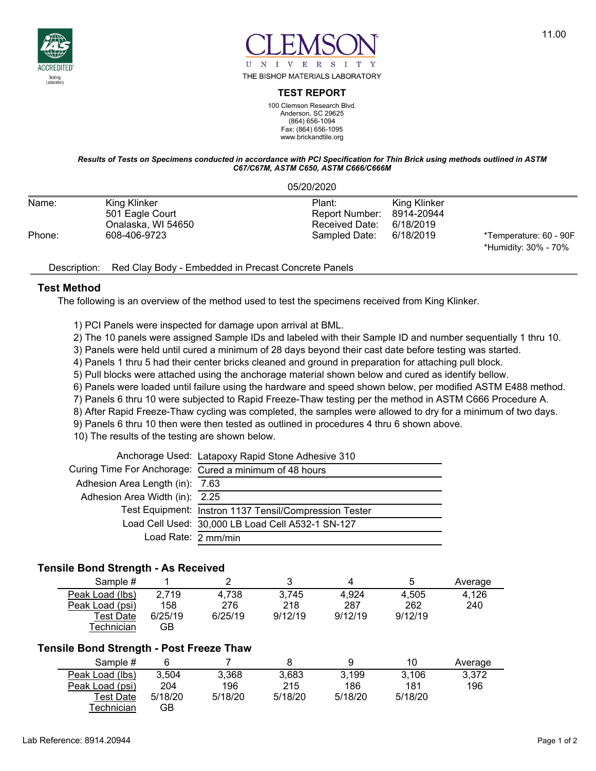



#### **TEST REPORT**

100 Clemson Research Blvd. Anderson, SC 29625 (864) 656-1094 Fax: (864) 656-1095 www.brickandtile.org

#### *Results of Tests on Specimens conducted in accordance with PCI Specification for Thin Brick using methods outlined in ASTM C67/C67M, ASTM C650, ASTM C666/C666M*

05/20/2020

| Name:  | King Klinker       | Plant:                    | King Klinker |                        |
|--------|--------------------|---------------------------|--------------|------------------------|
|        | 501 Eagle Court    | Report Number: 8914-20944 |              |                        |
|        | Onalaska. WI 54650 | Received Date: 6/18/2019  |              |                        |
| Phone: | 608-406-9723       | Sampled Date:             | 6/18/2019    | *Temperature: 60 - 90F |
|        |                    |                           |              | *Humidity: 30% - 70%   |

## Description: Red Clay Body - Embedded in Precast Concrete Panels

## **Test Method**

The following is an overview of the method used to test the specimens received from King Klinker.

- 1) PCI Panels were inspected for damage upon arrival at BML.
- 2) The 10 panels were assigned Sample IDs and labeled with their Sample ID and number sequentially 1 thru 10.
- 3) Panels were held until cured a minimum of 28 days beyond their cast date before testing was started.
- 4) Panels 1 thru 5 had their center bricks cleaned and ground in preparation for attaching pull block.
- 5) Pull blocks were attached using the anchorage material shown below and cured as identify bellow.
- 6) Panels were loaded until failure using the hardware and speed shown below, per modified ASTM E488 method.
- 7) Panels 6 thru 10 were subjected to Rapid Freeze-Thaw testing per the method in ASTM C666 Procedure A.
- 8) After Rapid Freeze-Thaw cycling was completed, the samples were allowed to dry for a minimum of two days.
- 9) Panels 6 thru 10 then were then tested as outlined in procedures 4 thru 6 shown above.
- 10) The results of the testing are shown below.

|                                 | Anchorage Used: Latapoxy Rapid Stone Adhesive 310      |
|---------------------------------|--------------------------------------------------------|
|                                 | Curing Time For Anchorage: Cured a minimum of 48 hours |
| Adhesion Area Length (in): 7.63 |                                                        |
| Adhesion Area Width (in): 2.25  |                                                        |
|                                 | Test Equipment: Instron 1137 Tensil/Compression Tester |
|                                 | Load Cell Used: 30,000 LB Load Cell A532-1 SN-127      |
| Load Rate: 2 mm/min             |                                                        |

#### **Tensile Bond Strength - As Received**

| Sample #         |         |         |         |         | 5       | Average |
|------------------|---------|---------|---------|---------|---------|---------|
| Peak Load (lbs)  | 2,719   | 4,738   | 3.745   | 4.924   | 4.505   | 4.126   |
| Peak Load (psi)  | 158     | 276     | 218     | 287     | 262     | 240     |
| <b>Test Date</b> | 6/25/19 | 6/25/19 | 9/12/19 | 9/12/19 | 9/12/19 |         |
| Гесһnісіаn       | GB      |         |         |         |         |         |

## **Tensile Bond Strength - Post Freeze Thaw**

| Sample #        |         |         |         |         | 10      | Average |
|-----------------|---------|---------|---------|---------|---------|---------|
| Peak Load (lbs) | 3.504   | 3,368   | 3,683   | 3.199   | 3.106   | 3,372   |
| Peak Load (psi) | 204     | 196     | 215     | 186     | 181     | 196     |
| Test Date       | 5/18/20 | 5/18/20 | 5/18/20 | 5/18/20 | 5/18/20 |         |
| Гесhnician      | GB      |         |         |         |         |         |